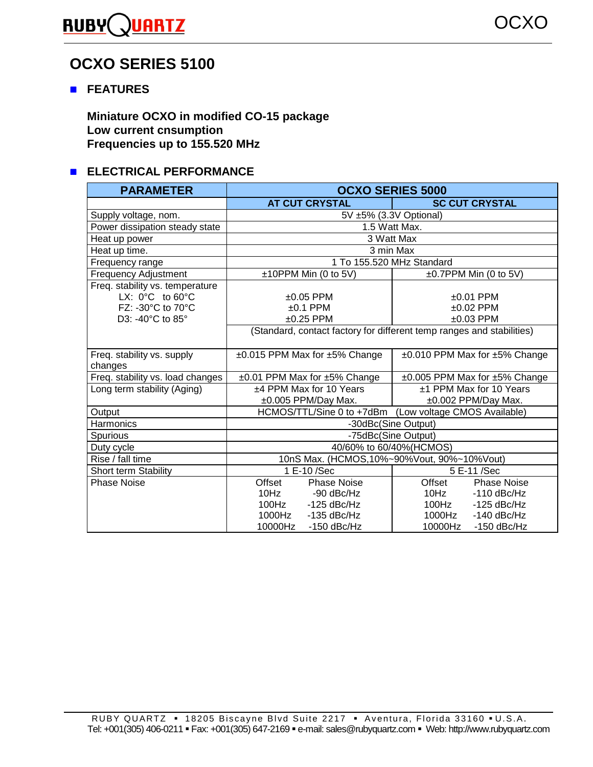# **RUBYQUARTZ**

# **OCXO SERIES 5100**

### " **FEATURES**

**Miniature OCXO in modified CO-15 package Low current cnsumption Frequencies up to 155.520 MHz** 

# **ELECTRICAL PERFORMANCE**

| <b>PARAMETER</b>                                                                                                | <b>OCXO SERIES 5000</b>                                                                                                                |                                                                                                                                        |  |  |  |  |
|-----------------------------------------------------------------------------------------------------------------|----------------------------------------------------------------------------------------------------------------------------------------|----------------------------------------------------------------------------------------------------------------------------------------|--|--|--|--|
|                                                                                                                 | <b>AT CUT CRYSTAL</b>                                                                                                                  | <b>SC CUT CRYSTAL</b>                                                                                                                  |  |  |  |  |
| Supply voltage, nom.                                                                                            | 5V ±5% (3.3V Optional)                                                                                                                 |                                                                                                                                        |  |  |  |  |
| Power dissipation steady state                                                                                  | 1.5 Watt Max.                                                                                                                          |                                                                                                                                        |  |  |  |  |
| Heat up power                                                                                                   | 3 Watt Max                                                                                                                             |                                                                                                                                        |  |  |  |  |
| Heat up time.                                                                                                   | 3 min Max                                                                                                                              |                                                                                                                                        |  |  |  |  |
| Frequency range                                                                                                 | 1 To 155.520 MHz Standard                                                                                                              |                                                                                                                                        |  |  |  |  |
| <b>Frequency Adjustment</b>                                                                                     | ±10PPM Min (0 to 5V)                                                                                                                   | ±0.7PPM Min (0 to 5V)                                                                                                                  |  |  |  |  |
| Freq. stability vs. temperature<br>LX: $0^{\circ}$ C to $60^{\circ}$ C<br>FZ: -30°C to 70°C<br>D3: -40°C to 85° | $±0.05$ PPM<br>$±0.1$ PPM<br>$±0.25$ PPM                                                                                               | $±0.01$ PPM<br>$±0.02$ PPM<br>$±0.03$ PPM                                                                                              |  |  |  |  |
|                                                                                                                 | (Standard, contact factory for different temp ranges and stabilities)                                                                  |                                                                                                                                        |  |  |  |  |
| Freq. stability vs. supply<br>changes                                                                           | ±0.015 PPM Max for ±5% Change                                                                                                          | ±0.010 PPM Max for ±5% Change                                                                                                          |  |  |  |  |
| Freq. stability vs. load changes                                                                                | ±0.01 PPM Max for ±5% Change                                                                                                           | ±0.005 PPM Max for ±5% Change                                                                                                          |  |  |  |  |
| Long term stability (Aging)                                                                                     | ±4 PPM Max for 10 Years<br>±0.005 PPM/Day Max.                                                                                         | ±1 PPM Max for 10 Years<br>±0.002 PPM/Day Max.                                                                                         |  |  |  |  |
| Output                                                                                                          | HCMOS/TTL/Sine 0 to +7dBm (Low voltage CMOS Available)                                                                                 |                                                                                                                                        |  |  |  |  |
| Harmonics                                                                                                       | -30dBc(Sine Output)                                                                                                                    |                                                                                                                                        |  |  |  |  |
| Spurious                                                                                                        | -75dBc(Sine Output)                                                                                                                    |                                                                                                                                        |  |  |  |  |
| Duty cycle                                                                                                      | 40/60% to 60/40%(HCMOS)                                                                                                                |                                                                                                                                        |  |  |  |  |
| Rise / fall time                                                                                                | 10nS Max. (HCMOS, 10%~90%Vout, 90%~10%Vout)                                                                                            |                                                                                                                                        |  |  |  |  |
| Short term Stability                                                                                            | 1 E-10 /Sec                                                                                                                            | 5 E-11 /Sec                                                                                                                            |  |  |  |  |
| <b>Phase Noise</b>                                                                                              | Offset<br><b>Phase Noise</b><br>10Hz<br>-90 dBc/Hz<br>$100$ Hz<br>$-125$ dBc/Hz<br>1000Hz<br>$-135$ dBc/Hz<br>10000Hz<br>$-150$ dBc/Hz | Offset<br><b>Phase Noise</b><br>$-110$ dBc/Hz<br>10Hz<br>100Hz<br>$-125$ dBc/Hz<br>1000Hz<br>$-140$ dBc/Hz<br>10000Hz<br>$-150$ dBc/Hz |  |  |  |  |